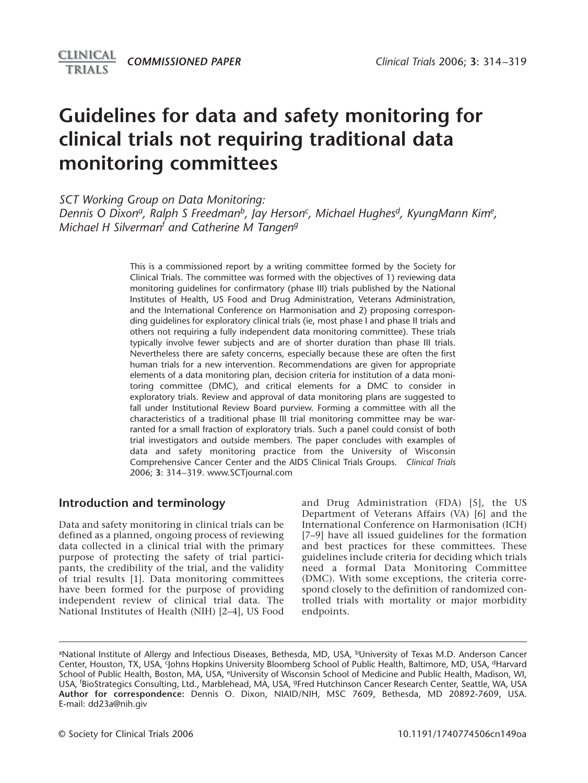# **Guidelines for data and safety monitoring for clinical trials not requiring traditional data monitoring committees**

*SCT Working Group on Data Monitoring:*

Dennis O Dixon<sup>a</sup>, Ralph S Freedman<sup>b</sup>, Jay Herson<sup>c</sup>, Michael Hughes<sup>d</sup>, KyungMann Kim<sup>e</sup>, *Michael H Silvermanf and Catherine M Tangen<sup>g</sup>*

> This is a commissioned report by a writing committee formed by the Society for Clinical Trials. The committee was formed with the objectives of 1) reviewing data monitoring guidelines for confirmatory (phase III) trials published by the National Institutes of Health, US Food and Drug Administration, Veterans Administration, and the International Conference on Harmonisation and 2) proposing corresponding guidelines for exploratory clinical trials (ie, most phase I and phase II trials and others not requiring a fully independent data monitoring committee). These trials typically involve fewer subjects and are of shorter duration than phase III trials. Nevertheless there are safety concerns, especially because these are often the first human trials for a new intervention. Recommendations are given for appropriate elements of a data monitoring plan, decision criteria for institution of a data monitoring committee (DMC), and critical elements for a DMC to consider in exploratory trials. Review and approval of data monitoring plans are suggested to fall under Institutional Review Board purview. Forming a committee with all the characteristics of a traditional phase III trial monitoring committee may be warranted for a small fraction of exploratory trials. Such a panel could consist of both trial investigators and outside members. The paper concludes with examples of data and safety monitoring practice from the University of Wisconsin Comprehensive Cancer Center and the AIDS Clinical Trials Groups. *Clinical Trials* 2006; **3**: 314–319. www.SCTjournal.com

# **Introduction and terminology**

Data and safety monitoring in clinical trials can be defined as a planned, ongoing process of reviewing data collected in a clinical trial with the primary purpose of protecting the safety of trial participants, the credibility of the trial, and the validity of trial results [1]. Data monitoring committees have been formed for the purpose of providing independent review of clinical trial data. The National Institutes of Health (NIH) [2–4], US Food

and Drug Administration (FDA) [5], the US Department of Veterans Affairs (VA) [6] and the International Conference on Harmonisation (ICH) [7–9] have all issued guidelines for the formation and best practices for these committees. These guidelines include criteria for deciding which trials need a formal Data Monitoring Committee (DMC). With some exceptions, the criteria correspond closely to the definition of randomized controlled trials with mortality or major morbidity endpoints.

aNational Institute of Allergy and Infectious Diseases, Bethesda, MD, USA, bUniversity of Texas M.D. Anderson Cancer Center, Houston, TX, USA, <sup>c</sup>Johns Hopkins University Bloomberg School of Public Health, Baltimore, MD, USA, <sup>d</sup>Harvard School of Public Health, Boston, MA, USA, eUniversity of Wisconsin School of Medicine and Public Health, Madison, WI, USA, f BioStrategics Consulting, Ltd., Marblehead, MA, USA, gFred Hutchinson Cancer Research Center, Seattle, WA, USA **Author for correspondence:** Dennis O. Dixon, NIAID/NIH, MSC 7609, Bethesda, MD 20892-7609, USA. E-mail: dd23a@nih.giv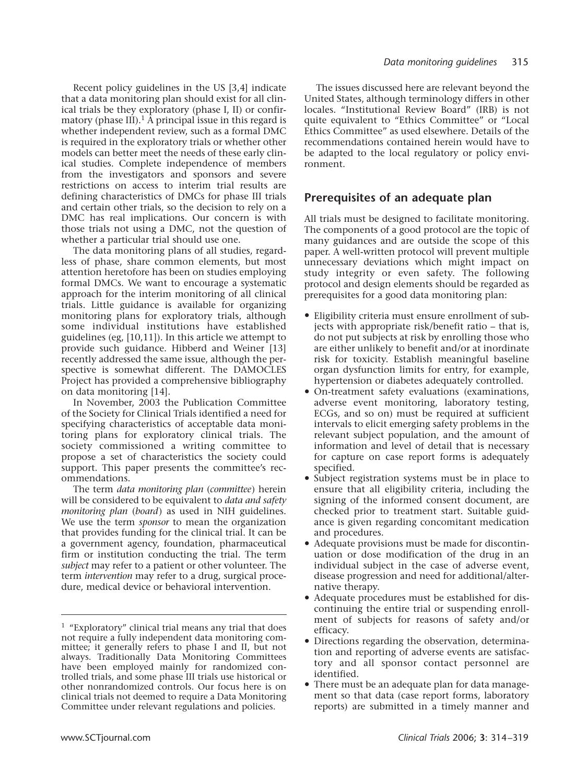Recent policy guidelines in the US [3,4] indicate that a data monitoring plan should exist for all clinical trials be they exploratory (phase I, II) or confirmatory (phase III).<sup>1</sup> A principal issue in this regard is whether independent review, such as a formal DMC is required in the exploratory trials or whether other models can better meet the needs of these early clinical studies. Complete independence of members from the investigators and sponsors and severe restrictions on access to interim trial results are defining characteristics of DMCs for phase III trials and certain other trials, so the decision to rely on a DMC has real implications. Our concern is with those trials not using a DMC, not the question of whether a particular trial should use one.

The data monitoring plans of all studies, regardless of phase, share common elements, but most attention heretofore has been on studies employing formal DMCs. We want to encourage a systematic approach for the interim monitoring of all clinical trials. Little guidance is available for organizing monitoring plans for exploratory trials, although some individual institutions have established guidelines (eg, [10,11]). In this article we attempt to provide such guidance. Hibberd and Weiner [13] recently addressed the same issue, although the perspective is somewhat different. The DAMOCLES Project has provided a comprehensive bibliography on data monitoring [14].

In November, 2003 the Publication Committee of the Society for Clinical Trials identified a need for specifying characteristics of acceptable data monitoring plans for exploratory clinical trials. The society commissioned a writing committee to propose a set of characteristics the society could support. This paper presents the committee's recommendations.

The term *data monitoring plan* (*committee*) herein will be considered to be equivalent to *data and safety monitoring plan* (*board*) as used in NIH guidelines. We use the term *sponsor* to mean the organization that provides funding for the clinical trial. It can be a government agency, foundation, pharmaceutical firm or institution conducting the trial. The term *subject* may refer to a patient or other volunteer. The term *intervention* may refer to a drug, surgical procedure, medical device or behavioral intervention.

The issues discussed here are relevant beyond the United States, although terminology differs in other locales. "Institutional Review Board" (IRB) is not quite equivalent to "Ethics Committee" or "Local Ethics Committee" as used elsewhere. Details of the recommendations contained herein would have to be adapted to the local regulatory or policy environment.

## **Prerequisites of an adequate plan**

All trials must be designed to facilitate monitoring. The components of a good protocol are the topic of many guidances and are outside the scope of this paper. A well-written protocol will prevent multiple unnecessary deviations which might impact on study integrity or even safety. The following protocol and design elements should be regarded as prerequisites for a good data monitoring plan:

- Eligibility criteria must ensure enrollment of subjects with appropriate risk/benefit ratio – that is, do not put subjects at risk by enrolling those who are either unlikely to benefit and/or at inordinate risk for toxicity. Establish meaningful baseline organ dysfunction limits for entry, for example, hypertension or diabetes adequately controlled.
- On-treatment safety evaluations (examinations, adverse event monitoring, laboratory testing, ECGs, and so on) must be required at sufficient intervals to elicit emerging safety problems in the relevant subject population, and the amount of information and level of detail that is necessary for capture on case report forms is adequately specified.
- Subject registration systems must be in place to ensure that all eligibility criteria, including the signing of the informed consent document, are checked prior to treatment start. Suitable guidance is given regarding concomitant medication and procedures.
- Adequate provisions must be made for discontinuation or dose modification of the drug in an individual subject in the case of adverse event, disease progression and need for additional/alternative therapy.
- Adequate procedures must be established for discontinuing the entire trial or suspending enrollment of subjects for reasons of safety and/or efficacy.
- Directions regarding the observation, determination and reporting of adverse events are satisfactory and all sponsor contact personnel are identified.
- There must be an adequate plan for data management so that data (case report forms, laboratory reports) are submitted in a timely manner and

<sup>1</sup> "Exploratory" clinical trial means any trial that does not require a fully independent data monitoring committee; it generally refers to phase I and II, but not always. Traditionally Data Monitoring Committees have been employed mainly for randomized controlled trials, and some phase III trials use historical or other nonrandomized controls. Our focus here is on clinical trials not deemed to require a Data Monitoring Committee under relevant regulations and policies.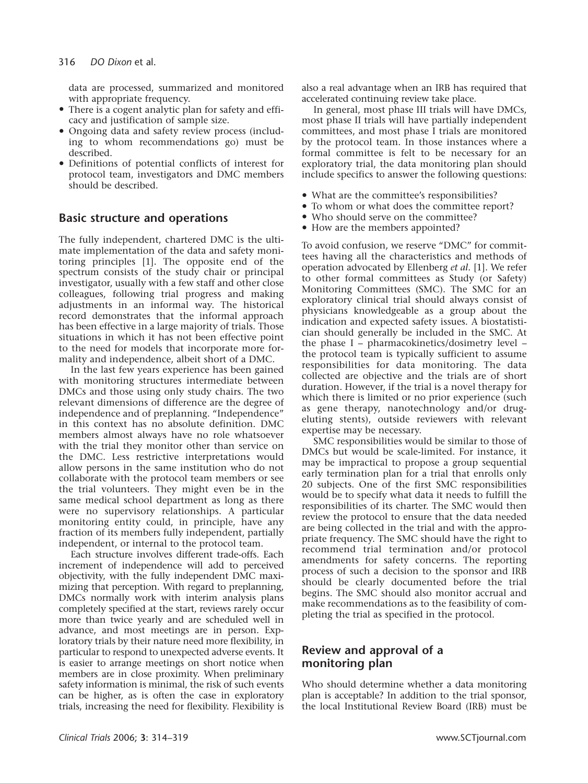data are processed, summarized and monitored with appropriate frequency.

- There is a cogent analytic plan for safety and efficacy and justification of sample size.
- Ongoing data and safety review process (including to whom recommendations go) must be described.
- Definitions of potential conflicts of interest for protocol team, investigators and DMC members should be described.

# **Basic structure and operations**

The fully independent, chartered DMC is the ultimate implementation of the data and safety monitoring principles [1]. The opposite end of the spectrum consists of the study chair or principal investigator, usually with a few staff and other close colleagues, following trial progress and making adjustments in an informal way. The historical record demonstrates that the informal approach has been effective in a large majority of trials. Those situations in which it has not been effective point to the need for models that incorporate more formality and independence, albeit short of a DMC.

In the last few years experience has been gained with monitoring structures intermediate between DMCs and those using only study chairs. The two relevant dimensions of difference are the degree of independence and of preplanning. "Independence" in this context has no absolute definition. DMC members almost always have no role whatsoever with the trial they monitor other than service on the DMC. Less restrictive interpretations would allow persons in the same institution who do not collaborate with the protocol team members or see the trial volunteers. They might even be in the same medical school department as long as there were no supervisory relationships. A particular monitoring entity could, in principle, have any fraction of its members fully independent, partially independent, or internal to the protocol team.

Each structure involves different trade-offs. Each increment of independence will add to perceived objectivity, with the fully independent DMC maximizing that perception. With regard to preplanning, DMCs normally work with interim analysis plans completely specified at the start, reviews rarely occur more than twice yearly and are scheduled well in advance, and most meetings are in person. Exploratory trials by their nature need more flexibility, in particular to respond to unexpected adverse events. It is easier to arrange meetings on short notice when members are in close proximity. When preliminary safety information is minimal, the risk of such events can be higher, as is often the case in exploratory trials, increasing the need for flexibility. Flexibility is

also a real advantage when an IRB has required that accelerated continuing review take place.

In general, most phase III trials will have DMCs, most phase II trials will have partially independent committees, and most phase I trials are monitored by the protocol team. In those instances where a formal committee is felt to be necessary for an exploratory trial, the data monitoring plan should include specifics to answer the following questions:

- What are the committee's responsibilities?
- To whom or what does the committee report?
- Who should serve on the committee?
- How are the members appointed?

To avoid confusion, we reserve "DMC" for committees having all the characteristics and methods of operation advocated by Ellenberg *et al.* [1]. We refer to other formal committees as Study (or Safety) Monitoring Committees (SMC). The SMC for an exploratory clinical trial should always consist of physicians knowledgeable as a group about the indication and expected safety issues. A biostatistician should generally be included in the SMC. At the phase I – pharmacokinetics/dosimetry level – the protocol team is typically sufficient to assume responsibilities for data monitoring. The data collected are objective and the trials are of short duration. However, if the trial is a novel therapy for which there is limited or no prior experience (such as gene therapy, nanotechnology and/or drugeluting stents), outside reviewers with relevant expertise may be necessary.

SMC responsibilities would be similar to those of DMCs but would be scale-limited. For instance, it may be impractical to propose a group sequential early termination plan for a trial that enrolls only 20 subjects. One of the first SMC responsibilities would be to specify what data it needs to fulfill the responsibilities of its charter. The SMC would then review the protocol to ensure that the data needed are being collected in the trial and with the appropriate frequency. The SMC should have the right to recommend trial termination and/or protocol amendments for safety concerns. The reporting process of such a decision to the sponsor and IRB should be clearly documented before the trial begins. The SMC should also monitor accrual and make recommendations as to the feasibility of completing the trial as specified in the protocol.

# **Review and approval of a monitoring plan**

Who should determine whether a data monitoring plan is acceptable? In addition to the trial sponsor, the local Institutional Review Board (IRB) must be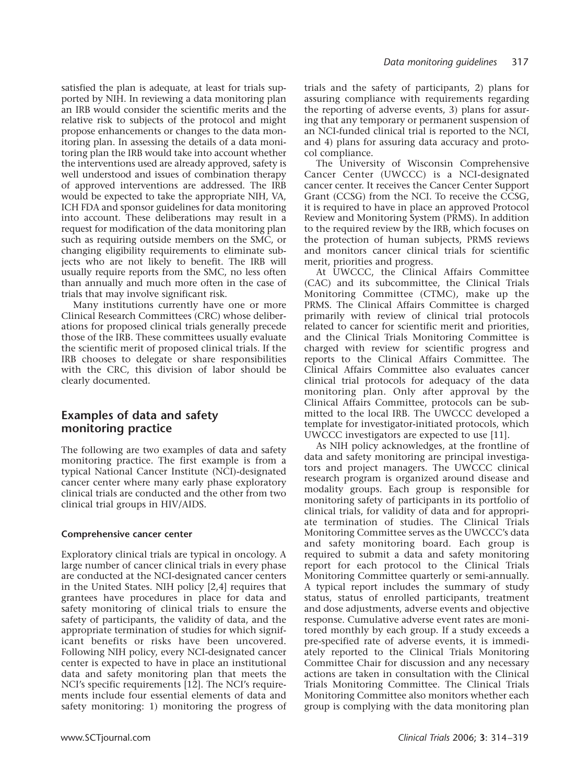satisfied the plan is adequate, at least for trials supported by NIH. In reviewing a data monitoring plan an IRB would consider the scientific merits and the relative risk to subjects of the protocol and might propose enhancements or changes to the data monitoring plan. In assessing the details of a data monitoring plan the IRB would take into account whether the interventions used are already approved, safety is well understood and issues of combination therapy of approved interventions are addressed. The IRB would be expected to take the appropriate NIH, VA, ICH FDA and sponsor guidelines for data monitoring into account. These deliberations may result in a request for modification of the data monitoring plan such as requiring outside members on the SMC, or changing eligibility requirements to eliminate subjects who are not likely to benefit. The IRB will usually require reports from the SMC, no less often than annually and much more often in the case of trials that may involve significant risk.

Many institutions currently have one or more Clinical Research Committees (CRC) whose deliberations for proposed clinical trials generally precede those of the IRB. These committees usually evaluate the scientific merit of proposed clinical trials. If the IRB chooses to delegate or share responsibilities with the CRC, this division of labor should be clearly documented.

# **Examples of data and safety monitoring practice**

The following are two examples of data and safety monitoring practice. The first example is from a typical National Cancer Institute (NCI)-designated cancer center where many early phase exploratory clinical trials are conducted and the other from two clinical trial groups in HIV/AIDS.

#### **Comprehensive cancer center**

Exploratory clinical trials are typical in oncology. A large number of cancer clinical trials in every phase are conducted at the NCI-designated cancer centers in the United States. NIH policy [2,4] requires that grantees have procedures in place for data and safety monitoring of clinical trials to ensure the safety of participants, the validity of data, and the appropriate termination of studies for which significant benefits or risks have been uncovered. Following NIH policy, every NCI-designated cancer center is expected to have in place an institutional data and safety monitoring plan that meets the NCI's specific requirements [12]. The NCI's requirements include four essential elements of data and safety monitoring: 1) monitoring the progress of

trials and the safety of participants, 2) plans for assuring compliance with requirements regarding the reporting of adverse events, 3) plans for assuring that any temporary or permanent suspension of an NCI-funded clinical trial is reported to the NCI, and 4) plans for assuring data accuracy and protocol compliance.

The University of Wisconsin Comprehensive Cancer Center (UWCCC) is a NCI-designated cancer center. It receives the Cancer Center Support Grant (CCSG) from the NCI. To receive the CCSG, it is required to have in place an approved Protocol Review and Monitoring System (PRMS). In addition to the required review by the IRB, which focuses on the protection of human subjects, PRMS reviews and monitors cancer clinical trials for scientific merit, priorities and progress.

At UWCCC, the Clinical Affairs Committee (CAC) and its subcommittee, the Clinical Trials Monitoring Committee (CTMC), make up the PRMS. The Clinical Affairs Committee is charged primarily with review of clinical trial protocols related to cancer for scientific merit and priorities, and the Clinical Trials Monitoring Committee is charged with review for scientific progress and reports to the Clinical Affairs Committee. The Clinical Affairs Committee also evaluates cancer clinical trial protocols for adequacy of the data monitoring plan. Only after approval by the Clinical Affairs Committee, protocols can be submitted to the local IRB. The UWCCC developed a template for investigator-initiated protocols, which UWCCC investigators are expected to use [11].

As NIH policy acknowledges, at the frontline of data and safety monitoring are principal investigators and project managers. The UWCCC clinical research program is organized around disease and modality groups. Each group is responsible for monitoring safety of participants in its portfolio of clinical trials, for validity of data and for appropriate termination of studies. The Clinical Trials Monitoring Committee serves as the UWCCC's data and safety monitoring board. Each group is required to submit a data and safety monitoring report for each protocol to the Clinical Trials Monitoring Committee quarterly or semi-annually. A typical report includes the summary of study status, status of enrolled participants, treatment and dose adjustments, adverse events and objective response. Cumulative adverse event rates are monitored monthly by each group. If a study exceeds a pre-specified rate of adverse events, it is immediately reported to the Clinical Trials Monitoring Committee Chair for discussion and any necessary actions are taken in consultation with the Clinical Trials Monitoring Committee. The Clinical Trials Monitoring Committee also monitors whether each group is complying with the data monitoring plan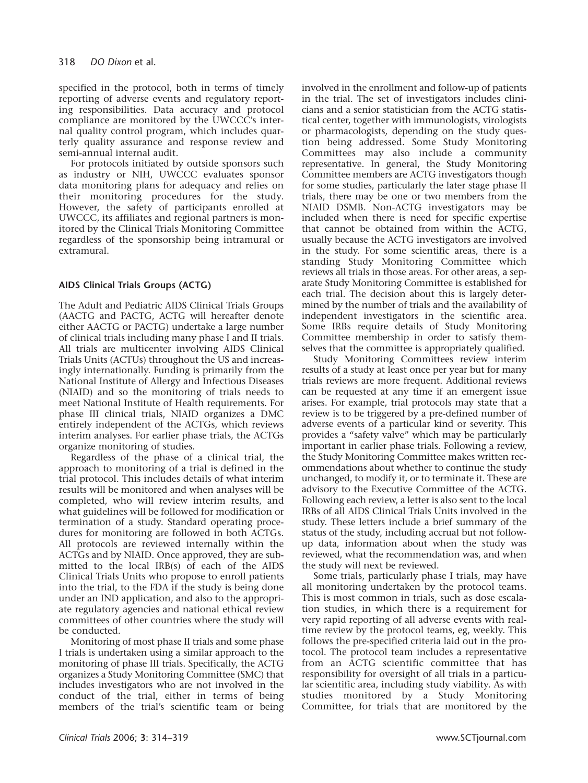specified in the protocol, both in terms of timely reporting of adverse events and regulatory reporting responsibilities. Data accuracy and protocol compliance are monitored by the UWCCC's internal quality control program, which includes quarterly quality assurance and response review and semi-annual internal audit.

For protocols initiated by outside sponsors such as industry or NIH, UWCCC evaluates sponsor data monitoring plans for adequacy and relies on their monitoring procedures for the study. However, the safety of participants enrolled at UWCCC, its affiliates and regional partners is monitored by the Clinical Trials Monitoring Committee regardless of the sponsorship being intramural or extramural.

### **AIDS Clinical Trials Groups (ACTG)**

The Adult and Pediatric AIDS Clinical Trials Groups (AACTG and PACTG, ACTG will hereafter denote either AACTG or PACTG) undertake a large number of clinical trials including many phase I and II trials. All trials are multicenter involving AIDS Clinical Trials Units (ACTUs) throughout the US and increasingly internationally. Funding is primarily from the National Institute of Allergy and Infectious Diseases (NIAID) and so the monitoring of trials needs to meet National Institute of Health requirements. For phase III clinical trials, NIAID organizes a DMC entirely independent of the ACTGs, which reviews interim analyses. For earlier phase trials, the ACTGs organize monitoring of studies.

Regardless of the phase of a clinical trial, the approach to monitoring of a trial is defined in the trial protocol. This includes details of what interim results will be monitored and when analyses will be completed, who will review interim results, and what guidelines will be followed for modification or termination of a study. Standard operating procedures for monitoring are followed in both ACTGs. All protocols are reviewed internally within the ACTGs and by NIAID. Once approved, they are submitted to the local IRB(s) of each of the AIDS Clinical Trials Units who propose to enroll patients into the trial, to the FDA if the study is being done under an IND application, and also to the appropriate regulatory agencies and national ethical review committees of other countries where the study will be conducted.

Monitoring of most phase II trials and some phase I trials is undertaken using a similar approach to the monitoring of phase III trials. Specifically, the ACTG organizes a Study Monitoring Committee (SMC) that includes investigators who are not involved in the conduct of the trial, either in terms of being members of the trial's scientific team or being involved in the enrollment and follow-up of patients in the trial. The set of investigators includes clinicians and a senior statistician from the ACTG statistical center, together with immunologists, virologists or pharmacologists, depending on the study question being addressed. Some Study Monitoring Committees may also include a community representative. In general, the Study Monitoring Committee members are ACTG investigators though for some studies, particularly the later stage phase II trials, there may be one or two members from the NIAID DSMB. Non-ACTG investigators may be included when there is need for specific expertise that cannot be obtained from within the ACTG, usually because the ACTG investigators are involved in the study. For some scientific areas, there is a standing Study Monitoring Committee which reviews all trials in those areas. For other areas, a separate Study Monitoring Committee is established for each trial. The decision about this is largely determined by the number of trials and the availability of independent investigators in the scientific area. Some IRBs require details of Study Monitoring Committee membership in order to satisfy themselves that the committee is appropriately qualified.

Study Monitoring Committees review interim results of a study at least once per year but for many trials reviews are more frequent. Additional reviews can be requested at any time if an emergent issue arises. For example, trial protocols may state that a review is to be triggered by a pre-defined number of adverse events of a particular kind or severity. This provides a "safety valve" which may be particularly important in earlier phase trials. Following a review, the Study Monitoring Committee makes written recommendations about whether to continue the study unchanged, to modify it, or to terminate it. These are advisory to the Executive Committee of the ACTG. Following each review, a letter is also sent to the local IRBs of all AIDS Clinical Trials Units involved in the study. These letters include a brief summary of the status of the study, including accrual but not followup data, information about when the study was reviewed, what the recommendation was, and when the study will next be reviewed.

Some trials, particularly phase I trials, may have all monitoring undertaken by the protocol teams. This is most common in trials, such as dose escalation studies, in which there is a requirement for very rapid reporting of all adverse events with realtime review by the protocol teams, eg, weekly. This follows the pre-specified criteria laid out in the protocol. The protocol team includes a representative from an ACTG scientific committee that has responsibility for oversight of all trials in a particular scientific area, including study viability. As with studies monitored by a Study Monitoring Committee, for trials that are monitored by the